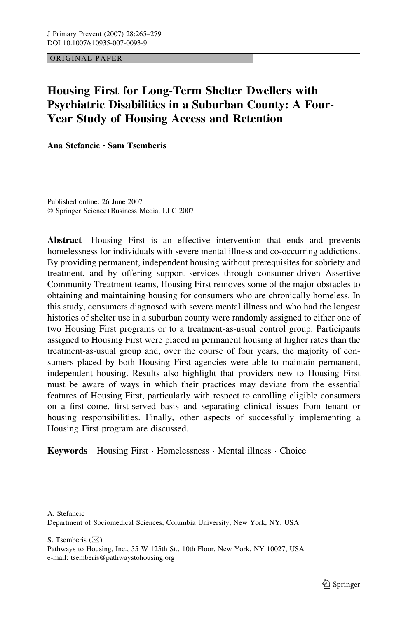ORIGINAL PAPER

# Housing First for Long-Term Shelter Dwellers with Psychiatric Disabilities in a Suburban County: A Four-Year Study of Housing Access and Retention

Ana Stefancic · Sam Tsemberis

Published online: 26 June 2007 Springer Science+Business Media, LLC 2007

Abstract Housing First is an effective intervention that ends and prevents homelessness for individuals with severe mental illness and co-occurring addictions. By providing permanent, independent housing without prerequisites for sobriety and treatment, and by offering support services through consumer-driven Assertive Community Treatment teams, Housing First removes some of the major obstacles to obtaining and maintaining housing for consumers who are chronically homeless. In this study, consumers diagnosed with severe mental illness and who had the longest histories of shelter use in a suburban county were randomly assigned to either one of two Housing First programs or to a treatment-as-usual control group. Participants assigned to Housing First were placed in permanent housing at higher rates than the treatment-as-usual group and, over the course of four years, the majority of consumers placed by both Housing First agencies were able to maintain permanent, independent housing. Results also highlight that providers new to Housing First must be aware of ways in which their practices may deviate from the essential features of Housing First, particularly with respect to enrolling eligible consumers on a first-come, first-served basis and separating clinical issues from tenant or housing responsibilities. Finally, other aspects of successfully implementing a Housing First program are discussed.

**Keywords** Housing First  $\cdot$  Homelessness  $\cdot$  Mental illness  $\cdot$  Choice

S. Tsemberis  $(\boxtimes)$ 

A. Stefancic

Department of Sociomedical Sciences, Columbia University, New York, NY, USA

Pathways to Housing, Inc., 55 W 125th St., 10th Floor, New York, NY 10027, USA e-mail: tsemberis@pathwaystohousing.org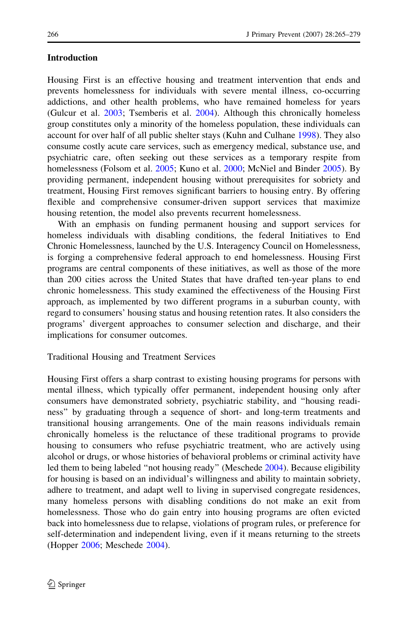# Introduction

Housing First is an effective housing and treatment intervention that ends and prevents homelessness for individuals with severe mental illness, co-occurring addictions, and other health problems, who have remained homeless for years (Gulcur et al. [2003](#page-13-0); Tsemberis et al. [2004\)](#page-14-0). Although this chronically homeless group constitutes only a minority of the homeless population, these individuals can account for over half of all public shelter stays (Kuhn and Culhane [1998\)](#page-13-0). They also consume costly acute care services, such as emergency medical, substance use, and psychiatric care, often seeking out these services as a temporary respite from homelessness (Folsom et al. [2005](#page-13-0); Kuno et al. [2000](#page-14-0); McNiel and Binder [2005\)](#page-14-0). By providing permanent, independent housing without prerequisites for sobriety and treatment, Housing First removes significant barriers to housing entry. By offering flexible and comprehensive consumer-driven support services that maximize housing retention, the model also prevents recurrent homelessness.

With an emphasis on funding permanent housing and support services for homeless individuals with disabling conditions, the federal Initiatives to End Chronic Homelessness, launched by the U.S. Interagency Council on Homelessness, is forging a comprehensive federal approach to end homelessness. Housing First programs are central components of these initiatives, as well as those of the more than 200 cities across the United States that have drafted ten-year plans to end chronic homelessness. This study examined the effectiveness of the Housing First approach, as implemented by two different programs in a suburban county, with regard to consumers' housing status and housing retention rates. It also considers the programs' divergent approaches to consumer selection and discharge, and their implications for consumer outcomes.

# Traditional Housing and Treatment Services

Housing First offers a sharp contrast to existing housing programs for persons with mental illness, which typically offer permanent, independent housing only after consumers have demonstrated sobriety, psychiatric stability, and ''housing readiness'' by graduating through a sequence of short- and long-term treatments and transitional housing arrangements. One of the main reasons individuals remain chronically homeless is the reluctance of these traditional programs to provide housing to consumers who refuse psychiatric treatment, who are actively using alcohol or drugs, or whose histories of behavioral problems or criminal activity have led them to being labeled ''not housing ready'' (Meschede [2004](#page-14-0)). Because eligibility for housing is based on an individual's willingness and ability to maintain sobriety, adhere to treatment, and adapt well to living in supervised congregate residences, many homeless persons with disabling conditions do not make an exit from homelessness. Those who do gain entry into housing programs are often evicted back into homelessness due to relapse, violations of program rules, or preference for self-determination and independent living, even if it means returning to the streets (Hopper [2006;](#page-13-0) Meschede [2004\)](#page-14-0).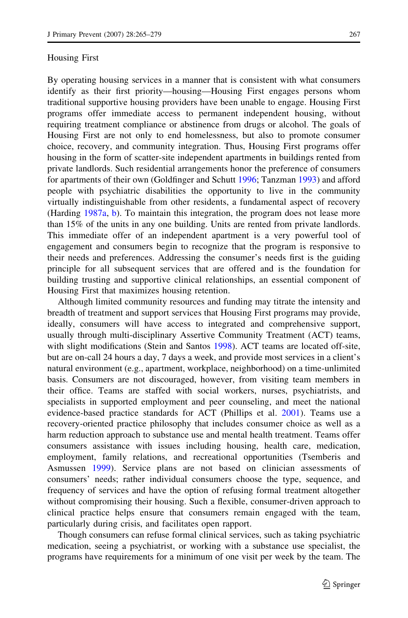## Housing First

By operating housing services in a manner that is consistent with what consumers identify as their first priority—housing—Housing First engages persons whom traditional supportive housing providers have been unable to engage. Housing First programs offer immediate access to permanent independent housing, without requiring treatment compliance or abstinence from drugs or alcohol. The goals of Housing First are not only to end homelessness, but also to promote consumer choice, recovery, and community integration. Thus, Housing First programs offer housing in the form of scatter-site independent apartments in buildings rented from private landlords. Such residential arrangements honor the preference of consumers for apartments of their own (Goldfinger and Schutt [1996](#page-13-0); Tanzman [1993](#page-14-0)) and afford people with psychiatric disabilities the opportunity to live in the community virtually indistinguishable from other residents, a fundamental aspect of recovery (Harding [1987a,](#page-13-0) [b\)](#page-13-0). To maintain this integration, the program does not lease more than 15% of the units in any one building. Units are rented from private landlords. This immediate offer of an independent apartment is a very powerful tool of engagement and consumers begin to recognize that the program is responsive to their needs and preferences. Addressing the consumer's needs first is the guiding principle for all subsequent services that are offered and is the foundation for building trusting and supportive clinical relationships, an essential component of Housing First that maximizes housing retention.

Although limited community resources and funding may titrate the intensity and breadth of treatment and support services that Housing First programs may provide, ideally, consumers will have access to integrated and comprehensive support, usually through multi-disciplinary Assertive Community Treatment (ACT) teams, with slight modifications (Stein and Santos [1998](#page-14-0)). ACT teams are located off-site, but are on-call 24 hours a day, 7 days a week, and provide most services in a client's natural environment (e.g., apartment, workplace, neighborhood) on a time-unlimited basis. Consumers are not discouraged, however, from visiting team members in their office. Teams are staffed with social workers, nurses, psychiatrists, and specialists in supported employment and peer counseling, and meet the national evidence-based practice standards for ACT (Phillips et al. [2001\)](#page-14-0). Teams use a recovery-oriented practice philosophy that includes consumer choice as well as a harm reduction approach to substance use and mental health treatment. Teams offer consumers assistance with issues including housing, health care, medication, employment, family relations, and recreational opportunities (Tsemberis and Asmussen [1999](#page-14-0)). Service plans are not based on clinician assessments of consumers' needs; rather individual consumers choose the type, sequence, and frequency of services and have the option of refusing formal treatment altogether without compromising their housing. Such a flexible, consumer-driven approach to clinical practice helps ensure that consumers remain engaged with the team, particularly during crisis, and facilitates open rapport.

Though consumers can refuse formal clinical services, such as taking psychiatric medication, seeing a psychiatrist, or working with a substance use specialist, the programs have requirements for a minimum of one visit per week by the team. The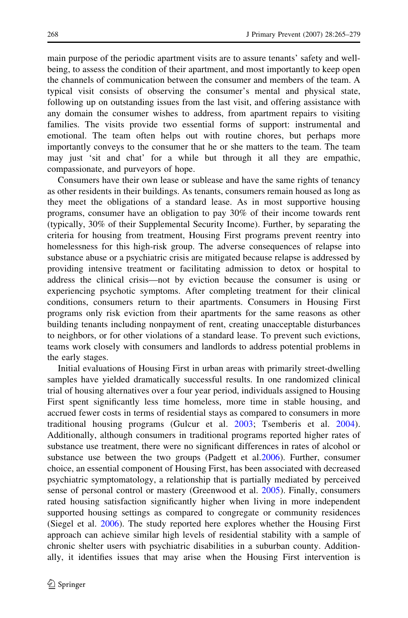main purpose of the periodic apartment visits are to assure tenants' safety and wellbeing, to assess the condition of their apartment, and most importantly to keep open the channels of communication between the consumer and members of the team. A typical visit consists of observing the consumer's mental and physical state, following up on outstanding issues from the last visit, and offering assistance with any domain the consumer wishes to address, from apartment repairs to visiting families. The visits provide two essential forms of support: instrumental and emotional. The team often helps out with routine chores, but perhaps more importantly conveys to the consumer that he or she matters to the team. The team may just 'sit and chat' for a while but through it all they are empathic, compassionate, and purveyors of hope.

Consumers have their own lease or sublease and have the same rights of tenancy as other residents in their buildings. As tenants, consumers remain housed as long as they meet the obligations of a standard lease. As in most supportive housing programs, consumer have an obligation to pay 30% of their income towards rent (typically, 30% of their Supplemental Security Income). Further, by separating the criteria for housing from treatment, Housing First programs prevent reentry into homelessness for this high-risk group. The adverse consequences of relapse into substance abuse or a psychiatric crisis are mitigated because relapse is addressed by providing intensive treatment or facilitating admission to detox or hospital to address the clinical crisis—not by eviction because the consumer is using or experiencing psychotic symptoms. After completing treatment for their clinical conditions, consumers return to their apartments. Consumers in Housing First programs only risk eviction from their apartments for the same reasons as other building tenants including nonpayment of rent, creating unacceptable disturbances to neighbors, or for other violations of a standard lease. To prevent such evictions, teams work closely with consumers and landlords to address potential problems in the early stages.

Initial evaluations of Housing First in urban areas with primarily street-dwelling samples have yielded dramatically successful results. In one randomized clinical trial of housing alternatives over a four year period, individuals assigned to Housing First spent significantly less time homeless, more time in stable housing, and accrued fewer costs in terms of residential stays as compared to consumers in more traditional housing programs (Gulcur et al. [2003;](#page-13-0) Tsemberis et al. [2004](#page-14-0)). Additionally, although consumers in traditional programs reported higher rates of substance use treatment, there were no significant differences in rates of alcohol or substance use between the two groups (Padgett et al.[2006\)](#page-14-0). Further, consumer choice, an essential component of Housing First, has been associated with decreased psychiatric symptomatology, a relationship that is partially mediated by perceived sense of personal control or mastery (Greenwood et al. [2005\)](#page-13-0). Finally, consumers rated housing satisfaction significantly higher when living in more independent supported housing settings as compared to congregate or community residences (Siegel et al. [2006](#page-14-0)). The study reported here explores whether the Housing First approach can achieve similar high levels of residential stability with a sample of chronic shelter users with psychiatric disabilities in a suburban county. Additionally, it identifies issues that may arise when the Housing First intervention is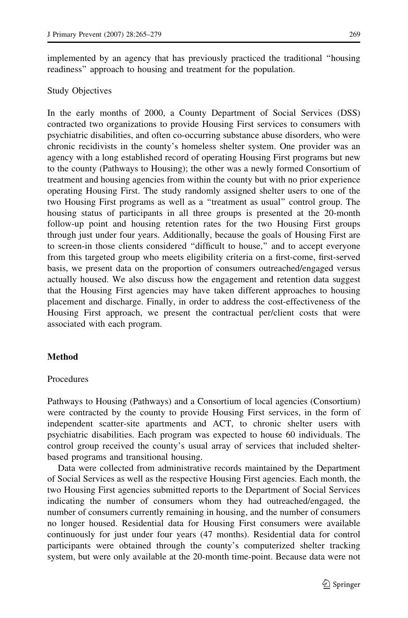implemented by an agency that has previously practiced the traditional ''housing readiness'' approach to housing and treatment for the population.

## Study Objectives

In the early months of 2000, a County Department of Social Services (DSS) contracted two organizations to provide Housing First services to consumers with psychiatric disabilities, and often co-occurring substance abuse disorders, who were chronic recidivists in the county's homeless shelter system. One provider was an agency with a long established record of operating Housing First programs but new to the county (Pathways to Housing); the other was a newly formed Consortium of treatment and housing agencies from within the county but with no prior experience operating Housing First. The study randomly assigned shelter users to one of the two Housing First programs as well as a ''treatment as usual'' control group. The housing status of participants in all three groups is presented at the 20-month follow-up point and housing retention rates for the two Housing First groups through just under four years. Additionally, because the goals of Housing First are to screen-in those clients considered ''difficult to house,'' and to accept everyone from this targeted group who meets eligibility criteria on a first-come, first-served basis, we present data on the proportion of consumers outreached/engaged versus actually housed. We also discuss how the engagement and retention data suggest that the Housing First agencies may have taken different approaches to housing placement and discharge. Finally, in order to address the cost-effectiveness of the Housing First approach, we present the contractual per/client costs that were associated with each program.

## Method

### Procedures

Pathways to Housing (Pathways) and a Consortium of local agencies (Consortium) were contracted by the county to provide Housing First services, in the form of independent scatter-site apartments and ACT, to chronic shelter users with psychiatric disabilities. Each program was expected to house 60 individuals. The control group received the county's usual array of services that included shelterbased programs and transitional housing.

Data were collected from administrative records maintained by the Department of Social Services as well as the respective Housing First agencies. Each month, the two Housing First agencies submitted reports to the Department of Social Services indicating the number of consumers whom they had outreached/engaged, the number of consumers currently remaining in housing, and the number of consumers no longer housed. Residential data for Housing First consumers were available continuously for just under four years (47 months). Residential data for control participants were obtained through the county's computerized shelter tracking system, but were only available at the 20-month time-point. Because data were not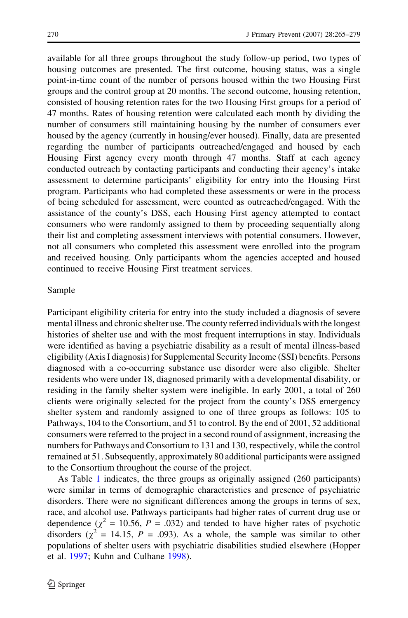available for all three groups throughout the study follow-up period, two types of housing outcomes are presented. The first outcome, housing status, was a single point-in-time count of the number of persons housed within the two Housing First groups and the control group at 20 months. The second outcome, housing retention, consisted of housing retention rates for the two Housing First groups for a period of 47 months. Rates of housing retention were calculated each month by dividing the number of consumers still maintaining housing by the number of consumers ever housed by the agency (currently in housing/ever housed). Finally, data are presented regarding the number of participants outreached/engaged and housed by each Housing First agency every month through 47 months. Staff at each agency conducted outreach by contacting participants and conducting their agency's intake assessment to determine participants' eligibility for entry into the Housing First program. Participants who had completed these assessments or were in the process of being scheduled for assessment, were counted as outreached/engaged. With the assistance of the county's DSS, each Housing First agency attempted to contact consumers who were randomly assigned to them by proceeding sequentially along their list and completing assessment interviews with potential consumers. However, not all consumers who completed this assessment were enrolled into the program and received housing. Only participants whom the agencies accepted and housed continued to receive Housing First treatment services.

#### Sample

Participant eligibility criteria for entry into the study included a diagnosis of severe mental illness and chronic shelter use. The county referred individuals with the longest histories of shelter use and with the most frequent interruptions in stay. Individuals were identified as having a psychiatric disability as a result of mental illness-based eligibility (Axis I diagnosis) for Supplemental Security Income (SSI) benefits. Persons diagnosed with a co-occurring substance use disorder were also eligible. Shelter residents who were under 18, diagnosed primarily with a developmental disability, or residing in the family shelter system were ineligible. In early 2001, a total of 260 clients were originally selected for the project from the county's DSS emergency shelter system and randomly assigned to one of three groups as follows: 105 to Pathways, 104 to the Consortium, and 51 to control. By the end of 2001, 52 additional consumers were referred to the project in a second round of assignment, increasing the numbers for Pathways and Consortium to 131 and 130, respectively, while the control remained at 51. Subsequently, approximately 80 additional participants were assigned to the Consortium throughout the course of the project.

As Table [1](#page-6-0) indicates, the three groups as originally assigned (260 participants) were similar in terms of demographic characteristics and presence of psychiatric disorders. There were no significant differences among the groups in terms of sex, race, and alcohol use. Pathways participants had higher rates of current drug use or dependence ( $\chi^2$  = 10.56, P = .032) and tended to have higher rates of psychotic disorders ( $\chi^2$  = 14.15, P = .093). As a whole, the sample was similar to other populations of shelter users with psychiatric disabilities studied elsewhere (Hopper et al. [1997;](#page-13-0) Kuhn and Culhane [1998\)](#page-13-0).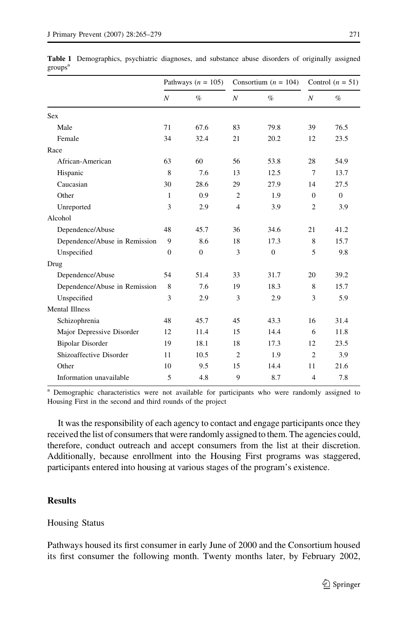|                               | Pathways $(n = 105)$ |          | Consortium ( $n = 104$ ) |              | Control $(n = 51)$ |              |
|-------------------------------|----------------------|----------|--------------------------|--------------|--------------------|--------------|
|                               | $\boldsymbol{N}$     | $\%$     | $\boldsymbol{N}$         | $\%$         | $\boldsymbol{N}$   | $\%$         |
| <b>Sex</b>                    |                      |          |                          |              |                    |              |
| Male                          | 71                   | 67.6     | 83                       | 79.8         | 39                 | 76.5         |
| Female                        | 34                   | 32.4     | 21                       | 20.2         | 12                 | 23.5         |
| Race                          |                      |          |                          |              |                    |              |
| African-American              | 63                   | 60       | 56                       | 53.8         | 28                 | 54.9         |
| Hispanic                      | 8                    | 7.6      | 13                       | 12.5         | 7                  | 13.7         |
| Caucasian                     | 30                   | 28.6     | 29                       | 27.9         | 14                 | 27.5         |
| Other                         | 1                    | 0.9      | $\overline{c}$           | 1.9          | $\Omega$           | $\mathbf{0}$ |
| Unreported                    | 3                    | 2.9      | $\overline{4}$           | 3.9          | $\overline{2}$     | 3.9          |
| Alcohol                       |                      |          |                          |              |                    |              |
| Dependence/Abuse              | 48                   | 45.7     | 36                       | 34.6         | 21                 | 41.2         |
| Dependence/Abuse in Remission | 9                    | 8.6      | 18                       | 17.3         | 8                  | 15.7         |
| Unspecified                   |                      | $\Omega$ | 3                        | $\mathbf{0}$ | 5                  | 9.8          |
| Drug                          |                      |          |                          |              |                    |              |
| Dependence/Abuse              | 54                   | 51.4     | 33                       | 31.7         | 20                 | 39.2         |
| Dependence/Abuse in Remission | 8                    | 7.6      | 19                       | 18.3         | 8                  | 15.7         |
| Unspecified                   | 3                    | 2.9      | 3                        | 2.9          | 3                  | 5.9          |
| <b>Mental Illness</b>         |                      |          |                          |              |                    |              |
| Schizophrenia                 | 48                   | 45.7     | 45                       | 43.3         | 16                 | 31.4         |
| Major Depressive Disorder     | 12                   | 11.4     | 15                       | 14.4         | 6                  | 11.8         |
| <b>Bipolar Disorder</b>       | 19                   | 18.1     | 18                       | 17.3         | 12                 | 23.5         |
| Shizoaffective Disorder       | 11                   | 10.5     | $\overline{2}$           | 1.9          | $\overline{c}$     | 3.9          |
| Other                         | 10                   | 9.5      | 15                       | 14.4         | 11                 | 21.6         |
| Information unavailable       | 5                    | 4.8      | 9                        | 8.7          | $\overline{4}$     | 7.8          |

<span id="page-6-0"></span>Table 1 Demographics, psychiatric diagnoses, and substance abuse disorders of originally assigned groups<sup>a</sup>

<sup>a</sup> Demographic characteristics were not available for participants who were randomly assigned to Housing First in the second and third rounds of the project

It was the responsibility of each agency to contact and engage participants once they received the list of consumers that were randomly assigned to them. The agencies could, therefore, conduct outreach and accept consumers from the list at their discretion. Additionally, because enrollment into the Housing First programs was staggered, participants entered into housing at various stages of the program's existence.

# Results

## Housing Status

Pathways housed its first consumer in early June of 2000 and the Consortium housed its first consumer the following month. Twenty months later, by February 2002,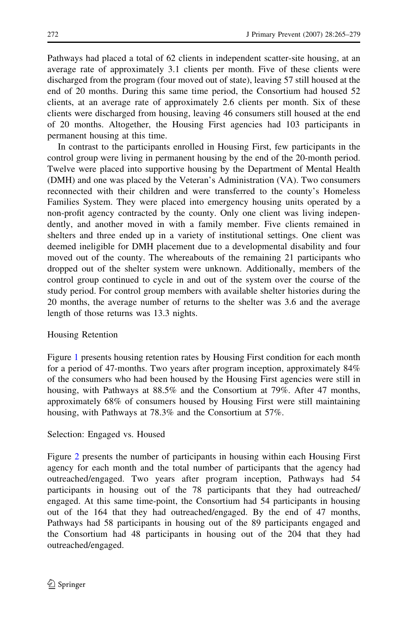Pathways had placed a total of 62 clients in independent scatter-site housing, at an average rate of approximately 3.1 clients per month. Five of these clients were discharged from the program (four moved out of state), leaving 57 still housed at the end of 20 months. During this same time period, the Consortium had housed 52 clients, at an average rate of approximately 2.6 clients per month. Six of these clients were discharged from housing, leaving 46 consumers still housed at the end of 20 months. Altogether, the Housing First agencies had 103 participants in permanent housing at this time.

In contrast to the participants enrolled in Housing First, few participants in the control group were living in permanent housing by the end of the 20-month period. Twelve were placed into supportive housing by the Department of Mental Health (DMH) and one was placed by the Veteran's Administration (VA). Two consumers reconnected with their children and were transferred to the county's Homeless Families System. They were placed into emergency housing units operated by a non-profit agency contracted by the county. Only one client was living independently, and another moved in with a family member. Five clients remained in shelters and three ended up in a variety of institutional settings. One client was deemed ineligible for DMH placement due to a developmental disability and four moved out of the county. The whereabouts of the remaining 21 participants who dropped out of the shelter system were unknown. Additionally, members of the control group continued to cycle in and out of the system over the course of the study period. For control group members with available shelter histories during the 20 months, the average number of returns to the shelter was 3.6 and the average length of those returns was 13.3 nights.

# Housing Retention

Figure [1](#page-8-0) presents housing retention rates by Housing First condition for each month for a period of 47-months. Two years after program inception, approximately 84% of the consumers who had been housed by the Housing First agencies were still in housing, with Pathways at 88.5% and the Consortium at 79%. After 47 months, approximately 68% of consumers housed by Housing First were still maintaining housing, with Pathways at 78.3% and the Consortium at 57%.

# Selection: Engaged vs. Housed

Figure [2](#page-8-0) presents the number of participants in housing within each Housing First agency for each month and the total number of participants that the agency had outreached/engaged. Two years after program inception, Pathways had 54 participants in housing out of the 78 participants that they had outreached/ engaged. At this same time-point, the Consortium had 54 participants in housing out of the 164 that they had outreached/engaged. By the end of 47 months, Pathways had 58 participants in housing out of the 89 participants engaged and the Consortium had 48 participants in housing out of the 204 that they had outreached/engaged.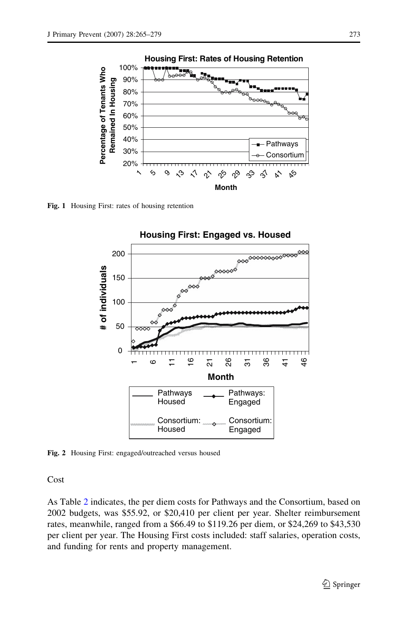<span id="page-8-0"></span>

Fig. 1 Housing First: rates of housing retention



Fig. 2 Housing First: engaged/outreached versus housed

Cost

As Table [2](#page-9-0) indicates, the per diem costs for Pathways and the Consortium, based on 2002 budgets, was \$55.92, or \$20,410 per client per year. Shelter reimbursement rates, meanwhile, ranged from a \$66.49 to \$119.26 per diem, or \$24,269 to \$43,530 per client per year. The Housing First costs included: staff salaries, operation costs, and funding for rents and property management.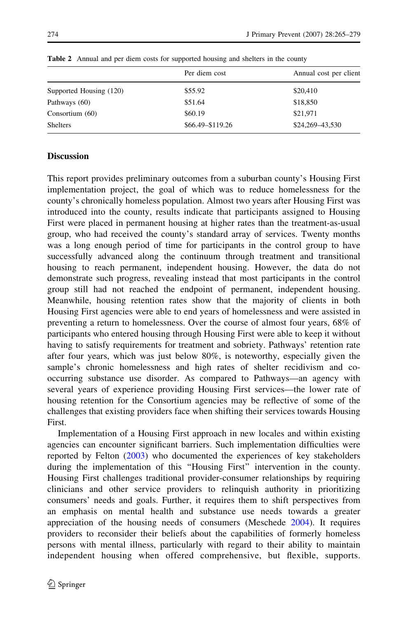|                         | Per diem cost    | Annual cost per client |  |  |
|-------------------------|------------------|------------------------|--|--|
| Supported Housing (120) | \$55.92          | \$20,410               |  |  |
| Pathways (60)           | \$51.64          | \$18,850               |  |  |
| Consortium (60)         | \$60.19          | \$21,971               |  |  |
| <b>Shelters</b>         | \$66.49-\$119.26 | \$24,269-43,530        |  |  |

<span id="page-9-0"></span>Table 2 Annual and per diem costs for supported housing and shelters in the county

# **Discussion**

This report provides preliminary outcomes from a suburban county's Housing First implementation project, the goal of which was to reduce homelessness for the county's chronically homeless population. Almost two years after Housing First was introduced into the county, results indicate that participants assigned to Housing First were placed in permanent housing at higher rates than the treatment-as-usual group, who had received the county's standard array of services. Twenty months was a long enough period of time for participants in the control group to have successfully advanced along the continuum through treatment and transitional housing to reach permanent, independent housing. However, the data do not demonstrate such progress, revealing instead that most participants in the control group still had not reached the endpoint of permanent, independent housing. Meanwhile, housing retention rates show that the majority of clients in both Housing First agencies were able to end years of homelessness and were assisted in preventing a return to homelessness. Over the course of almost four years, 68% of participants who entered housing through Housing First were able to keep it without having to satisfy requirements for treatment and sobriety. Pathways' retention rate after four years, which was just below 80%, is noteworthy, especially given the sample's chronic homelessness and high rates of shelter recidivism and cooccurring substance use disorder. As compared to Pathways—an agency with several years of experience providing Housing First services—the lower rate of housing retention for the Consortium agencies may be reflective of some of the challenges that existing providers face when shifting their services towards Housing First.

Implementation of a Housing First approach in new locales and within existing agencies can encounter significant barriers. Such implementation difficulties were reported by Felton [\(2003](#page-13-0)) who documented the experiences of key stakeholders during the implementation of this ''Housing First'' intervention in the county. Housing First challenges traditional provider-consumer relationships by requiring clinicians and other service providers to relinquish authority in prioritizing consumers' needs and goals. Further, it requires them to shift perspectives from an emphasis on mental health and substance use needs towards a greater appreciation of the housing needs of consumers (Meschede [2004](#page-14-0)). It requires providers to reconsider their beliefs about the capabilities of formerly homeless persons with mental illness, particularly with regard to their ability to maintain independent housing when offered comprehensive, but flexible, supports.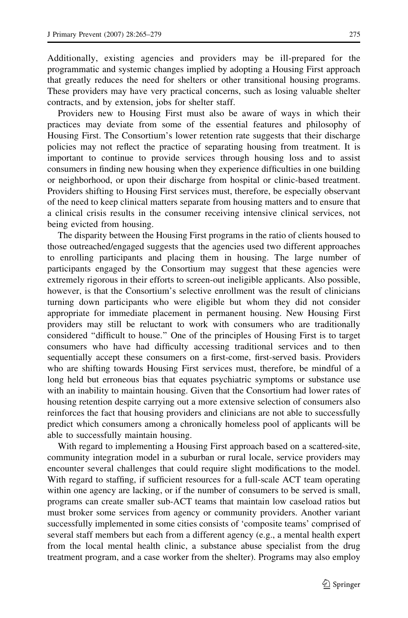Additionally, existing agencies and providers may be ill-prepared for the programmatic and systemic changes implied by adopting a Housing First approach that greatly reduces the need for shelters or other transitional housing programs. These providers may have very practical concerns, such as losing valuable shelter contracts, and by extension, jobs for shelter staff.

Providers new to Housing First must also be aware of ways in which their practices may deviate from some of the essential features and philosophy of Housing First. The Consortium's lower retention rate suggests that their discharge policies may not reflect the practice of separating housing from treatment. It is important to continue to provide services through housing loss and to assist consumers in finding new housing when they experience difficulties in one building or neighborhood, or upon their discharge from hospital or clinic-based treatment. Providers shifting to Housing First services must, therefore, be especially observant of the need to keep clinical matters separate from housing matters and to ensure that a clinical crisis results in the consumer receiving intensive clinical services, not being evicted from housing.

The disparity between the Housing First programs in the ratio of clients housed to those outreached/engaged suggests that the agencies used two different approaches to enrolling participants and placing them in housing. The large number of participants engaged by the Consortium may suggest that these agencies were extremely rigorous in their efforts to screen-out ineligible applicants. Also possible, however, is that the Consortium's selective enrollment was the result of clinicians turning down participants who were eligible but whom they did not consider appropriate for immediate placement in permanent housing. New Housing First providers may still be reluctant to work with consumers who are traditionally considered ''difficult to house.'' One of the principles of Housing First is to target consumers who have had difficulty accessing traditional services and to then sequentially accept these consumers on a first-come, first-served basis. Providers who are shifting towards Housing First services must, therefore, be mindful of a long held but erroneous bias that equates psychiatric symptoms or substance use with an inability to maintain housing. Given that the Consortium had lower rates of housing retention despite carrying out a more extensive selection of consumers also reinforces the fact that housing providers and clinicians are not able to successfully predict which consumers among a chronically homeless pool of applicants will be able to successfully maintain housing.

With regard to implementing a Housing First approach based on a scattered-site, community integration model in a suburban or rural locale, service providers may encounter several challenges that could require slight modifications to the model. With regard to staffing, if sufficient resources for a full-scale ACT team operating within one agency are lacking, or if the number of consumers to be served is small, programs can create smaller sub-ACT teams that maintain low caseload ratios but must broker some services from agency or community providers. Another variant successfully implemented in some cities consists of 'composite teams' comprised of several staff members but each from a different agency (e.g., a mental health expert from the local mental health clinic, a substance abuse specialist from the drug treatment program, and a case worker from the shelter). Programs may also employ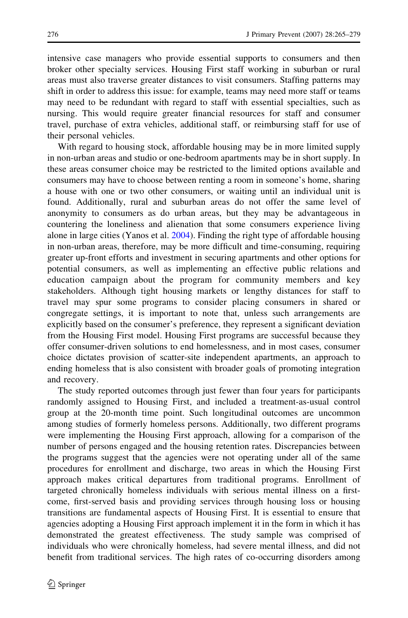intensive case managers who provide essential supports to consumers and then broker other specialty services. Housing First staff working in suburban or rural areas must also traverse greater distances to visit consumers. Staffing patterns may shift in order to address this issue: for example, teams may need more staff or teams may need to be redundant with regard to staff with essential specialties, such as nursing. This would require greater financial resources for staff and consumer travel, purchase of extra vehicles, additional staff, or reimbursing staff for use of their personal vehicles.

With regard to housing stock, affordable housing may be in more limited supply in non-urban areas and studio or one-bedroom apartments may be in short supply. In these areas consumer choice may be restricted to the limited options available and consumers may have to choose between renting a room in someone's home, sharing a house with one or two other consumers, or waiting until an individual unit is found. Additionally, rural and suburban areas do not offer the same level of anonymity to consumers as do urban areas, but they may be advantageous in countering the loneliness and alienation that some consumers experience living alone in large cities (Yanos et al. [2004\)](#page-14-0). Finding the right type of affordable housing in non-urban areas, therefore, may be more difficult and time-consuming, requiring greater up-front efforts and investment in securing apartments and other options for potential consumers, as well as implementing an effective public relations and education campaign about the program for community members and key stakeholders. Although tight housing markets or lengthy distances for staff to travel may spur some programs to consider placing consumers in shared or congregate settings, it is important to note that, unless such arrangements are explicitly based on the consumer's preference, they represent a significant deviation from the Housing First model. Housing First programs are successful because they offer consumer-driven solutions to end homelessness, and in most cases, consumer choice dictates provision of scatter-site independent apartments, an approach to ending homeless that is also consistent with broader goals of promoting integration and recovery.

The study reported outcomes through just fewer than four years for participants randomly assigned to Housing First, and included a treatment-as-usual control group at the 20-month time point. Such longitudinal outcomes are uncommon among studies of formerly homeless persons. Additionally, two different programs were implementing the Housing First approach, allowing for a comparison of the number of persons engaged and the housing retention rates. Discrepancies between the programs suggest that the agencies were not operating under all of the same procedures for enrollment and discharge, two areas in which the Housing First approach makes critical departures from traditional programs. Enrollment of targeted chronically homeless individuals with serious mental illness on a firstcome, first-served basis and providing services through housing loss or housing transitions are fundamental aspects of Housing First. It is essential to ensure that agencies adopting a Housing First approach implement it in the form in which it has demonstrated the greatest effectiveness. The study sample was comprised of individuals who were chronically homeless, had severe mental illness, and did not benefit from traditional services. The high rates of co-occurring disorders among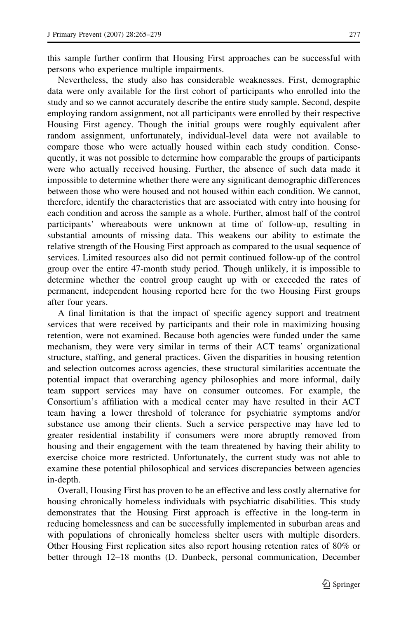this sample further confirm that Housing First approaches can be successful with persons who experience multiple impairments.

Nevertheless, the study also has considerable weaknesses. First, demographic data were only available for the first cohort of participants who enrolled into the study and so we cannot accurately describe the entire study sample. Second, despite employing random assignment, not all participants were enrolled by their respective Housing First agency. Though the initial groups were roughly equivalent after random assignment, unfortunately, individual-level data were not available to compare those who were actually housed within each study condition. Consequently, it was not possible to determine how comparable the groups of participants were who actually received housing. Further, the absence of such data made it impossible to determine whether there were any significant demographic differences between those who were housed and not housed within each condition. We cannot, therefore, identify the characteristics that are associated with entry into housing for each condition and across the sample as a whole. Further, almost half of the control participants' whereabouts were unknown at time of follow-up, resulting in substantial amounts of missing data. This weakens our ability to estimate the relative strength of the Housing First approach as compared to the usual sequence of services. Limited resources also did not permit continued follow-up of the control group over the entire 47-month study period. Though unlikely, it is impossible to determine whether the control group caught up with or exceeded the rates of permanent, independent housing reported here for the two Housing First groups after four years.

A final limitation is that the impact of specific agency support and treatment services that were received by participants and their role in maximizing housing retention, were not examined. Because both agencies were funded under the same mechanism, they were very similar in terms of their ACT teams' organizational structure, staffing, and general practices. Given the disparities in housing retention and selection outcomes across agencies, these structural similarities accentuate the potential impact that overarching agency philosophies and more informal, daily team support services may have on consumer outcomes. For example, the Consortium's affiliation with a medical center may have resulted in their ACT team having a lower threshold of tolerance for psychiatric symptoms and/or substance use among their clients. Such a service perspective may have led to greater residential instability if consumers were more abruptly removed from housing and their engagement with the team threatened by having their ability to exercise choice more restricted. Unfortunately, the current study was not able to examine these potential philosophical and services discrepancies between agencies in-depth.

Overall, Housing First has proven to be an effective and less costly alternative for housing chronically homeless individuals with psychiatric disabilities. This study demonstrates that the Housing First approach is effective in the long-term in reducing homelessness and can be successfully implemented in suburban areas and with populations of chronically homeless shelter users with multiple disorders. Other Housing First replication sites also report housing retention rates of 80% or better through 12–18 months (D. Dunbeck, personal communication, December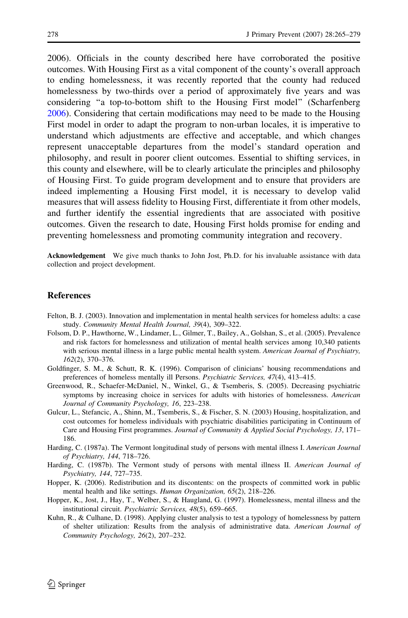<span id="page-13-0"></span>2006). Officials in the county described here have corroborated the positive outcomes. With Housing First as a vital component of the county's overall approach to ending homelessness, it was recently reported that the county had reduced homelessness by two-thirds over a period of approximately five years and was considering ''a top-to-bottom shift to the Housing First model'' (Scharfenberg [2006\)](#page-14-0). Considering that certain modifications may need to be made to the Housing First model in order to adapt the program to non-urban locales, it is imperative to understand which adjustments are effective and acceptable, and which changes represent unacceptable departures from the model's standard operation and philosophy, and result in poorer client outcomes. Essential to shifting services, in this county and elsewhere, will be to clearly articulate the principles and philosophy of Housing First. To guide program development and to ensure that providers are indeed implementing a Housing First model, it is necessary to develop valid measures that will assess fidelity to Housing First, differentiate it from other models, and further identify the essential ingredients that are associated with positive outcomes. Given the research to date, Housing First holds promise for ending and preventing homelessness and promoting community integration and recovery.

Acknowledgement We give much thanks to John Jost, Ph.D. for his invaluable assistance with data collection and project development.

## **References**

- Felton, B. J. (2003). Innovation and implementation in mental health services for homeless adults: a case study. Community Mental Health Journal, 39(4), 309–322.
- Folsom, D. P., Hawthorne, W., Lindamer, L., Gilmer, T., Bailey, A., Golshan, S., et al. (2005). Prevalence and risk factors for homelessness and utilization of mental health services among 10,340 patients with serious mental illness in a large public mental health system. American Journal of Psychiatry, 162(2), 370–376.
- Goldfinger, S. M., & Schutt, R. K. (1996). Comparison of clinicians' housing recommendations and preferences of homeless mentally ill Persons. Psychiatric Services, 47(4), 413–415.
- Greenwood, R., Schaefer-McDaniel, N., Winkel, G., & Tsemberis, S. (2005). Decreasing psychiatric symptoms by increasing choice in services for adults with histories of homelessness. American Journal of Community Psychology, 16, 223–238.
- Gulcur, L., Stefancic, A., Shinn, M., Tsemberis, S., & Fischer, S. N. (2003) Housing, hospitalization, and cost outcomes for homeless individuals with psychiatric disabilities participating in Continuum of Care and Housing First programmes. Journal of Community & Applied Social Psychology, 13, 171– 186.
- Harding, C. (1987a). The Vermont longitudinal study of persons with mental illness I. American Journal of Psychiatry, 144, 718–726.
- Harding, C. (1987b). The Vermont study of persons with mental illness II. American Journal of Psychiatry, 144, 727–735.
- Hopper, K. (2006). Redistribution and its discontents: on the prospects of committed work in public mental health and like settings. Human Organization, 65(2), 218–226.
- Hopper, K., Jost, J., Hay, T., Welber, S., & Haugland, G. (1997). Homelessness, mental illness and the institutional circuit. Psychiatric Services, 48(5), 659–665.
- Kuhn, R., & Culhane, D. (1998). Applying cluster analysis to test a typology of homelessness by pattern of shelter utilization: Results from the analysis of administrative data. American Journal of Community Psychology, 26(2), 207–232.